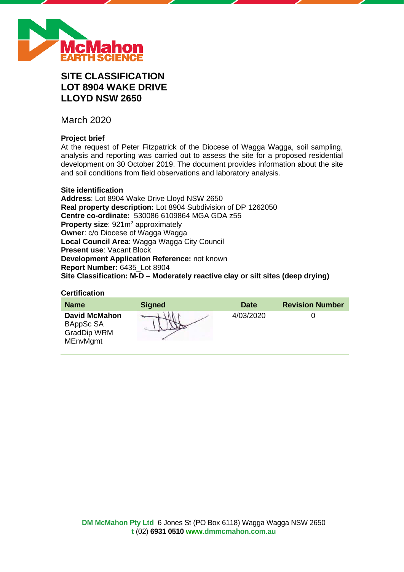

# **SITE CLASSIFICATION LOT 8904 WAKE DRIVE LLOYD NSW 2650**

March 2020

# **Project brief**

At the request of Peter Fitzpatrick of the Diocese of Wagga Wagga, soil sampling, analysis and reporting was carried out to assess the site for a proposed residential development on 30 October 2019. The document provides information about the site and soil conditions from field observations and laboratory analysis.

# **Site identification**

**Address**: Lot 8904 Wake Drive Lloyd NSW 2650 **Real property description:** Lot 8904 Subdivision of DP 1262050 **Centre co-ordinate:** 530086 6109864 MGA GDA z55 **Property size:** 921m<sup>2</sup> approximately **Owner**: c/o Diocese of Wagga Wagga **Local Council Area**: Wagga Wagga City Council **Present use**: Vacant Block **Development Application Reference:** not known **Report Number:** 6435\_Lot 8904 **Site Classification: M-D – Moderately reactive clay or silt sites (deep drying)**

#### **Certification**

| <b>Name</b>                                                                | <b>Signed</b> | <b>Date</b> | <b>Revision Number</b> |
|----------------------------------------------------------------------------|---------------|-------------|------------------------|
| <b>David McMahon</b><br>BAppSc SA<br><b>GradDip WRM</b><br><b>MEnvMgmt</b> |               | 4/03/2020   |                        |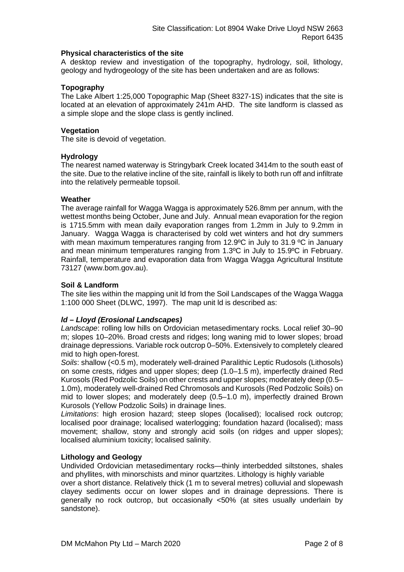# **Physical characteristics of the site**

A desktop review and investigation of the topography, hydrology, soil, lithology, geology and hydrogeology of the site has been undertaken and are as follows:

# **Topography**

The Lake Albert 1:25,000 Topographic Map (Sheet 8327-1S) indicates that the site is located at an elevation of approximately 241m AHD. The site landform is classed as a simple slope and the slope class is gently inclined.

# **Vegetation**

The site is devoid of vegetation.

# **Hydrology**

The nearest named waterway is Stringybark Creek located 3414m to the south east of the site. Due to the relative incline of the site, rainfall is likely to both run off and infiltrate into the relatively permeable topsoil.

# **Weather**

The average rainfall for Wagga Wagga is approximately 526.8mm per annum, with the wettest months being October, June and July. Annual mean evaporation for the region is 1715.5mm with mean daily evaporation ranges from 1.2mm in July to 9.2mm in January. Wagga Wagga is characterised by cold wet winters and hot dry summers with mean maximum temperatures ranging from 12.9°C in July to 31.9 °C in January and mean minimum temperatures ranging from 1.3ºC in July to 15.9ºC in February. Rainfall, temperature and evaporation data from Wagga Wagga Agricultural Institute 73127 (www.bom.gov.au).

# **Soil & Landform**

The site lies within the mapping unit ld from the Soil Landscapes of the Wagga Wagga 1:100 000 Sheet (DLWC, 1997). The map unit ld is described as:

# *ld – Lloyd (Erosional Landscapes)*

*Landscape*: rolling low hills on Ordovician metasedimentary rocks. Local relief 30–90 m; slopes 10–20%. Broad crests and ridges; long waning mid to lower slopes; broad drainage depressions. Variable rock outcrop 0–50%. Extensively to completely cleared mid to high open-forest.

*Soils*: shallow (<0.5 m), moderately well-drained Paralithic Leptic Rudosols (Lithosols) on some crests, ridges and upper slopes; deep (1.0–1.5 m), imperfectly drained Red Kurosols (Red Podzolic Soils) on other crests and upper slopes; moderately deep (0.5– 1.0m), moderately well-drained Red Chromosols and Kurosols (Red Podzolic Soils) on mid to lower slopes; and moderately deep (0.5–1.0 m), imperfectly drained Brown Kurosols (Yellow Podzolic Soils) in drainage lines.

*Limitations*: high erosion hazard; steep slopes (localised); localised rock outcrop; localised poor drainage; localised waterlogging; foundation hazard (localised); mass movement; shallow, stony and strongly acid soils (on ridges and upper slopes); localised aluminium toxicity; localised salinity.

#### **Lithology and Geology**

Undivided Ordovician metasedimentary rocks—thinly interbedded siltstones, shales and phyllites, with minorschists and minor quartzites. Lithology is highly variable

over a short distance. Relatively thick (1 m to several metres) colluvial and slopewash clayey sediments occur on lower slopes and in drainage depressions. There is generally no rock outcrop, but occasionally <50% (at sites usually underlain by sandstone).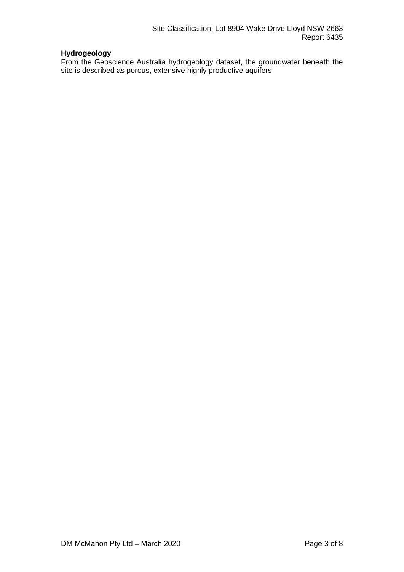# **Hydrogeology**

From the Geoscience Australia hydrogeology dataset, the groundwater beneath the site is described as porous, extensive highly productive aquifers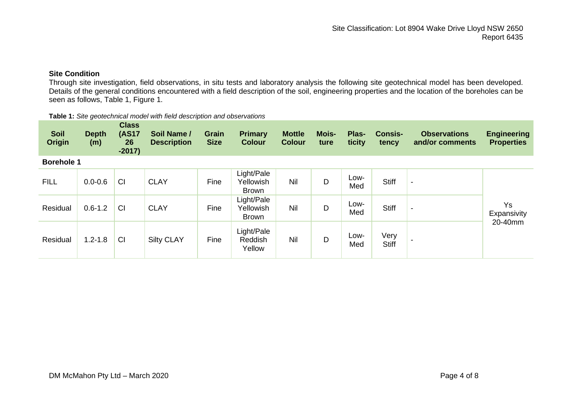# **Site Condition**

Through site investigation, field observations, in situ tests and laboratory analysis the following site geotechnical model has been developed. Details of the general conditions encountered with a field description of the soil, engineering properties and the location of the boreholes can be seen as follows, Table 1, Figure 1.

| <b>Table 1:</b> Site geotechnical model with field description and observations |  |
|---------------------------------------------------------------------------------|--|
|                                                                                 |  |

| <b>Soil</b><br><b>Origin</b> | <b>Depth</b><br>(m) | <b>Class</b><br><b>(AS17</b><br>26<br>$-2017)$ | Soil Name /<br><b>Description</b> | <b>Grain</b><br><b>Size</b> | <b>Primary</b><br><b>Colour</b>  | <b>Mottle</b><br><b>Colour</b> | <b>Mois-</b><br>ture | Plas-<br>ticity | <b>Consis-</b><br>tency | <b>Observations</b><br>and/or comments | <b>Engineering</b><br><b>Properties</b> |
|------------------------------|---------------------|------------------------------------------------|-----------------------------------|-----------------------------|----------------------------------|--------------------------------|----------------------|-----------------|-------------------------|----------------------------------------|-----------------------------------------|
| <b>Borehole 1</b>            |                     |                                                |                                   |                             |                                  |                                |                      |                 |                         |                                        |                                         |
| <b>FILL</b>                  | $0.0 - 0.6$         | CI                                             | <b>CLAY</b>                       | Fine                        | Light/Pale<br>Yellowish<br>Brown | Nil                            | D                    | Low-<br>Med     | <b>Stiff</b>            | $\overline{\phantom{a}}$               |                                         |
| Residual                     | $0.6 - 1.2$         | CI                                             | <b>CLAY</b>                       | Fine                        | Light/Pale<br>Yellowish<br>Brown | Nil                            | D                    | Low-<br>Med     | Stiff                   | $\overline{\phantom{a}}$               | <b>Ys</b><br>Expansivity                |
| Residual                     | $1.2 - 1.8$         | CI                                             | <b>Silty CLAY</b>                 | Fine                        | Light/Pale<br>Reddish<br>Yellow  | Nil                            | D                    | Low-<br>Med     | Very<br><b>Stiff</b>    |                                        | 20-40mm                                 |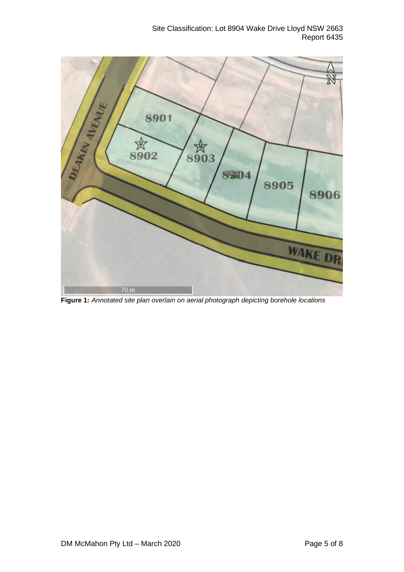Site Classification: Lot 8904 Wake Drive Lloyd NSW 2663 Report 6435



**Figure 1:** *Annotated site plan overlain on aerial photograph depicting borehole locations*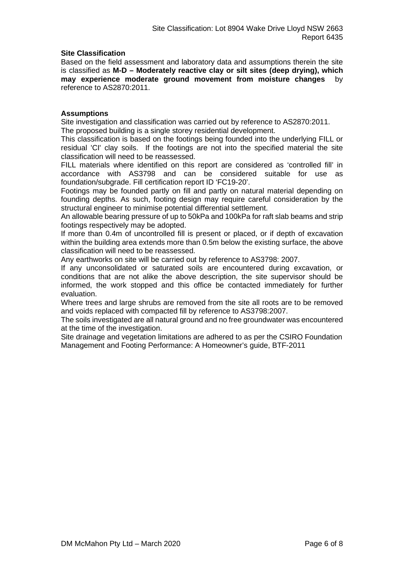# **Site Classification**

Based on the field assessment and laboratory data and assumptions therein the site is classified as **M-D – Moderately reactive clay or silt sites (deep drying), which may experience moderate ground movement from moisture changes** by reference to AS2870:2011.

# **Assumptions**

Site investigation and classification was carried out by reference to AS2870:2011. The proposed building is a single storey residential development.

This classification is based on the footings being founded into the underlying FILL or residual 'CI' clay soils. If the footings are not into the specified material the site classification will need to be reassessed.

FILL materials where identified on this report are considered as 'controlled fill' in accordance with AS3798 and can be considered suitable for use as foundation/subgrade. Fill certification report ID 'FC19-20'.

Footings may be founded partly on fill and partly on natural material depending on founding depths. As such, footing design may require careful consideration by the structural engineer to minimise potential differential settlement.

An allowable bearing pressure of up to 50kPa and 100kPa for raft slab beams and strip footings respectively may be adopted.

If more than 0.4m of uncontrolled fill is present or placed, or if depth of excavation within the building area extends more than 0.5m below the existing surface, the above classification will need to be reassessed.

Any earthworks on site will be carried out by reference to AS3798: 2007.

If any unconsolidated or saturated soils are encountered during excavation, or conditions that are not alike the above description, the site supervisor should be informed, the work stopped and this office be contacted immediately for further evaluation.

Where trees and large shrubs are removed from the site all roots are to be removed and voids replaced with compacted fill by reference to AS3798:2007.

The soils investigated are all natural ground and no free groundwater was encountered at the time of the investigation.

Site drainage and vegetation limitations are adhered to as per the CSIRO Foundation Management and Footing Performance: A Homeowner's guide, BTF-2011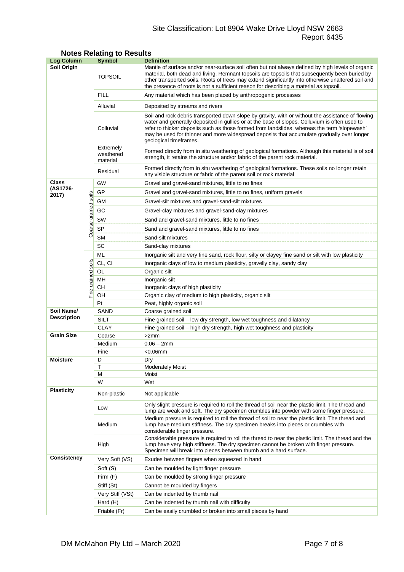# Site Classification: Lot 8904 Wake Drive Lloyd NSW 2663 Report 6435

| Log Column         |                | <b>Symbol</b>                                                              | <b>Definition</b>                                                                                                                                                                                                                                                                                                                                                                                                          |  |  |  |
|--------------------|----------------|----------------------------------------------------------------------------|----------------------------------------------------------------------------------------------------------------------------------------------------------------------------------------------------------------------------------------------------------------------------------------------------------------------------------------------------------------------------------------------------------------------------|--|--|--|
| Soil Origin        |                | <b>TOPSOIL</b>                                                             | Mantle of surface and/or near-surface soil often but not always defined by high levels of organic<br>material, both dead and living. Remnant topsoils are topsoils that subsequently been buried by<br>other transported soils. Roots of trees may extend significantly into otherwise unaltered soil and<br>the presence of roots is not a sufficient reason for describing a material as topsoil.                        |  |  |  |
|                    |                | FILL                                                                       | Any material which has been placed by anthropogenic processes                                                                                                                                                                                                                                                                                                                                                              |  |  |  |
|                    |                | Alluvial                                                                   | Deposited by streams and rivers                                                                                                                                                                                                                                                                                                                                                                                            |  |  |  |
|                    |                | Colluvial                                                                  | Soil and rock debris transported down slope by gravity, with or without the assistance of flowing<br>water and generally deposited in gullies or at the base of slopes. Colluvium is often used to<br>refer to thicker deposits such as those formed from landslides, whereas the term 'slopewash'<br>may be used for thinner and more widespread deposits that accumulate gradually over longer<br>geological timeframes. |  |  |  |
|                    |                | Extremely<br>weathered<br>material                                         | Formed directly from in situ weathering of geological formations. Although this material is of soil<br>strength, it retains the structure and/or fabric of the parent rock material.                                                                                                                                                                                                                                       |  |  |  |
|                    |                | Residual                                                                   | Formed directly from in situ weathering of geological formations. These soils no longer retain<br>any visible structure or fabric of the parent soil or rock material                                                                                                                                                                                                                                                      |  |  |  |
| Class              |                | GW                                                                         | Gravel and gravel-sand mixtures, little to no fines                                                                                                                                                                                                                                                                                                                                                                        |  |  |  |
| (AS1726-<br>2017)  |                | GP<br>Gravel and gravel-sand mixtures, little to no fines, uniform gravels |                                                                                                                                                                                                                                                                                                                                                                                                                            |  |  |  |
|                    | soils          | GМ                                                                         | Gravel-silt mixtures and gravel-sand-silt mixtures                                                                                                                                                                                                                                                                                                                                                                         |  |  |  |
|                    |                | GC                                                                         | Gravel-clay mixtures and gravel-sand-clay mixtures                                                                                                                                                                                                                                                                                                                                                                         |  |  |  |
|                    |                | SW                                                                         | Sand and gravel-sand mixtures, little to no fines                                                                                                                                                                                                                                                                                                                                                                          |  |  |  |
|                    | Coarse grained | <b>SP</b>                                                                  | Sand and gravel-sand mixtures, little to no fines                                                                                                                                                                                                                                                                                                                                                                          |  |  |  |
|                    |                | <b>SM</b>                                                                  | Sand-silt mixtures                                                                                                                                                                                                                                                                                                                                                                                                         |  |  |  |
|                    |                | SC                                                                         | Sand-clay mixtures                                                                                                                                                                                                                                                                                                                                                                                                         |  |  |  |
|                    |                | ML                                                                         | Inorganic silt and very fine sand, rock flour, silty or clayey fine sand or silt with low plasticity                                                                                                                                                                                                                                                                                                                       |  |  |  |
|                    | soils          | CL, CI                                                                     | Inorganic clays of low to medium plasticity, gravelly clay, sandy clay                                                                                                                                                                                                                                                                                                                                                     |  |  |  |
|                    |                | OL                                                                         | Organic silt                                                                                                                                                                                                                                                                                                                                                                                                               |  |  |  |
|                    |                | MН                                                                         | Inorganic silt                                                                                                                                                                                                                                                                                                                                                                                                             |  |  |  |
|                    | Fine grained   | CН                                                                         | Inorganic clays of high plasticity                                                                                                                                                                                                                                                                                                                                                                                         |  |  |  |
|                    |                | OН                                                                         | Organic clay of medium to high plasticity, organic silt                                                                                                                                                                                                                                                                                                                                                                    |  |  |  |
|                    |                | Pt                                                                         | Peat, highly organic soil                                                                                                                                                                                                                                                                                                                                                                                                  |  |  |  |
| Soil Name/         | SAND           |                                                                            | Coarse grained soil                                                                                                                                                                                                                                                                                                                                                                                                        |  |  |  |
| <b>Description</b> |                | SILT                                                                       | Fine grained soil - low dry strength, low wet toughness and dilatancy                                                                                                                                                                                                                                                                                                                                                      |  |  |  |
|                    |                | <b>CLAY</b>                                                                | Fine grained soil - high dry strength, high wet toughness and plasticity                                                                                                                                                                                                                                                                                                                                                   |  |  |  |
| <b>Grain Size</b>  |                | Coarse                                                                     | >2mm                                                                                                                                                                                                                                                                                                                                                                                                                       |  |  |  |
|                    |                | Medium                                                                     | $0.06 - 2mm$                                                                                                                                                                                                                                                                                                                                                                                                               |  |  |  |
| <b>Moisture</b>    |                | Fine<br>D                                                                  | $<$ 0.06 $<$ mm<br>Dry                                                                                                                                                                                                                                                                                                                                                                                                     |  |  |  |
|                    |                | Т                                                                          | <b>Moderately Moist</b>                                                                                                                                                                                                                                                                                                                                                                                                    |  |  |  |
|                    |                | М                                                                          | Moist                                                                                                                                                                                                                                                                                                                                                                                                                      |  |  |  |
|                    |                | W                                                                          | Wet                                                                                                                                                                                                                                                                                                                                                                                                                        |  |  |  |
| <b>Plasticity</b>  |                | Non-plastic                                                                | Not applicable                                                                                                                                                                                                                                                                                                                                                                                                             |  |  |  |
|                    |                | Low                                                                        | Only slight pressure is required to roll the thread of soil near the plastic limit. The thread and<br>lump are weak and soft. The dry specimen crumbles into powder with some finger pressure.                                                                                                                                                                                                                             |  |  |  |
|                    |                | Medium                                                                     | Medium pressure is required to roll the thread of soil to near the plastic limit. The thread and<br>lump have medium stiffness. The dry specimen breaks into pieces or crumbles with<br>considerable finger pressure.                                                                                                                                                                                                      |  |  |  |
|                    |                | High                                                                       | Considerable pressure is required to roll the thread to near the plastic limit. The thread and the<br>lump have very high stiffness. The dry specimen cannot be broken with finger pressure.<br>Specimen will break into pieces between thumb and a hard surface.                                                                                                                                                          |  |  |  |
| Consistency        |                | Very Soft (VS)                                                             | Exudes between fingers when squeezed in hand                                                                                                                                                                                                                                                                                                                                                                               |  |  |  |
|                    |                | Soft (S)                                                                   | Can be moulded by light finger pressure                                                                                                                                                                                                                                                                                                                                                                                    |  |  |  |
|                    |                | Firm (F)                                                                   | Can be moulded by strong finger pressure                                                                                                                                                                                                                                                                                                                                                                                   |  |  |  |
|                    |                | Stiff (St)                                                                 | Cannot be moulded by fingers                                                                                                                                                                                                                                                                                                                                                                                               |  |  |  |
|                    |                | Very Stiff (VSt)                                                           | Can be indented by thumb nail                                                                                                                                                                                                                                                                                                                                                                                              |  |  |  |
|                    |                | Hard (H)                                                                   | Can be indented by thumb nail with difficulty                                                                                                                                                                                                                                                                                                                                                                              |  |  |  |
|                    |                | Friable (Fr)                                                               | Can be easily crumbled or broken into small pieces by hand                                                                                                                                                                                                                                                                                                                                                                 |  |  |  |

# **Notes Relating to Results**